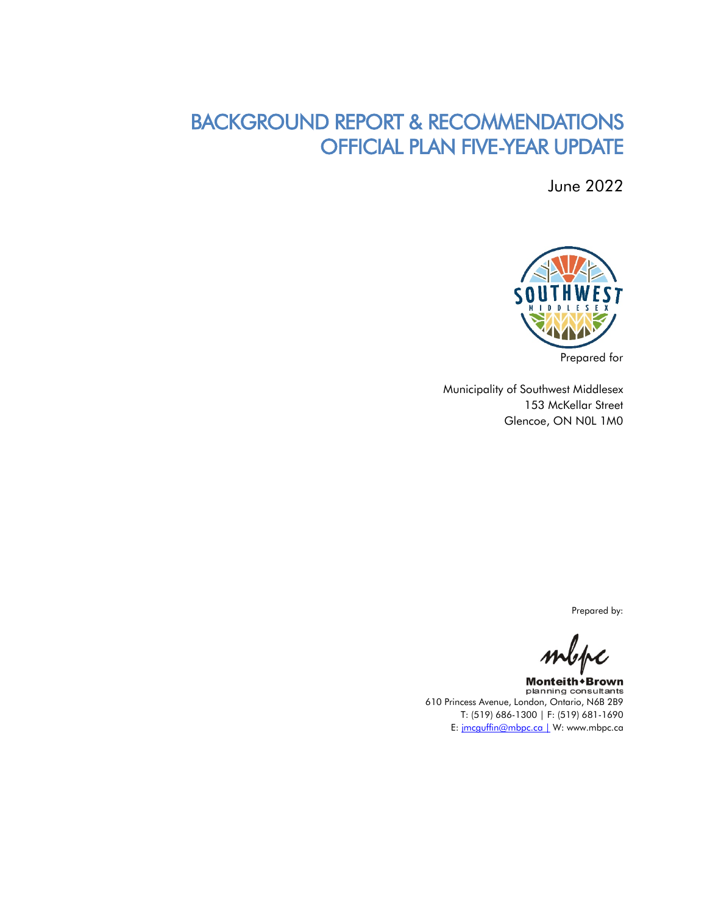# BACKGROUND REPORT & RECOMMENDATIONS OFFICIAL PLAN FIVE-YEAR UPDATE

June 2022



Municipality of Southwest Middlesex 153 McKellar Street Glencoe, ON N0L 1M0

Prepared by:

 $\mathcal{M}\subset\mathcal{M}$ 

Monteith + Brown planning consultants 610 Princess Avenue, London, Ontario, N6B 2B9 T: (519) 686-1300 | F: (519) 681-1690 E: [jmcguffin@mbpc.ca |](mailto:jmcguffin@mbpc.ca%20%7C) W: www.mbpc.ca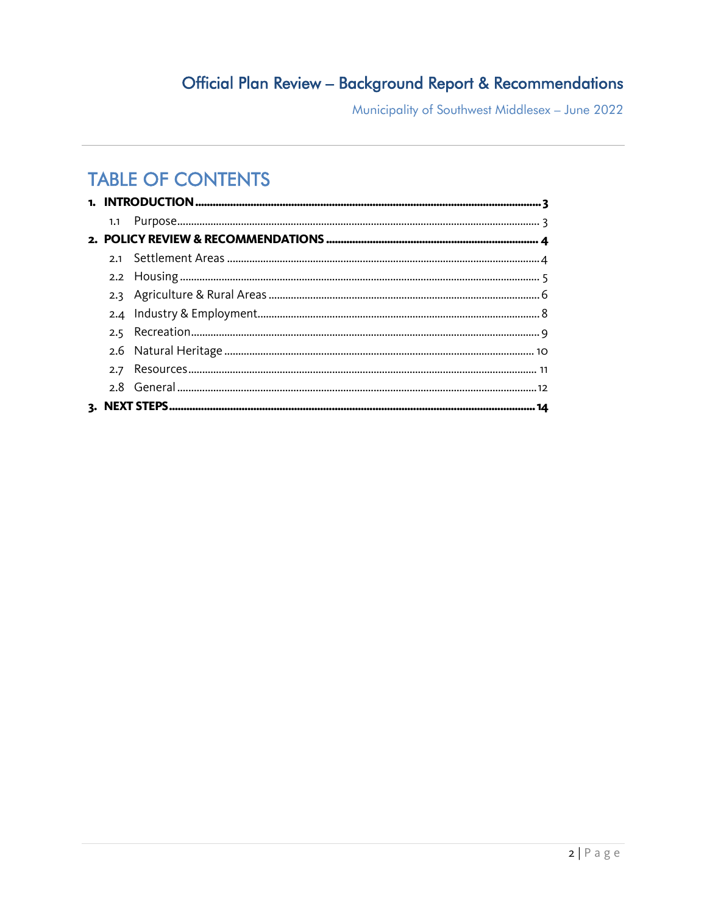# Official Plan Review - Background Report & Recommendations

Municipality of Southwest Middlesex - June 2022

# **TABLE OF CONTENTS**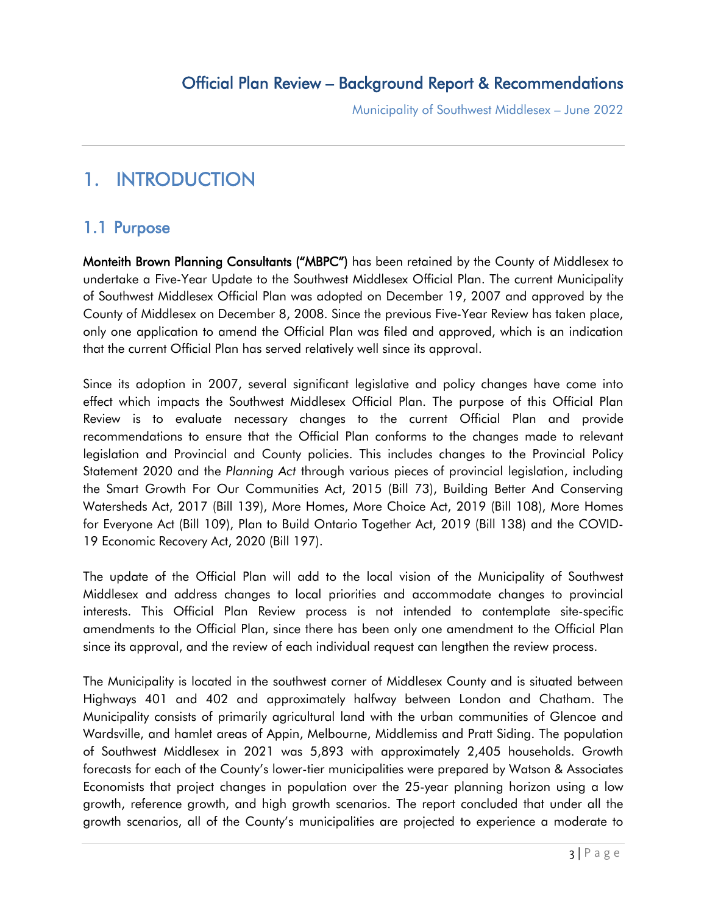# <span id="page-2-0"></span>1. INTRODUCTION

# <span id="page-2-1"></span>1.1 Purpose

Monteith Brown Planning Consultants ("MBPC") has been retained by the County of Middlesex to undertake a Five-Year Update to the Southwest Middlesex Official Plan. The current Municipality of Southwest Middlesex Official Plan was adopted on December 19, 2007 and approved by the County of Middlesex on December 8, 2008. Since the previous Five-Year Review has taken place, only one application to amend the Official Plan was filed and approved, which is an indication that the current Official Plan has served relatively well since its approval.

Since its adoption in 2007, several significant legislative and policy changes have come into effect which impacts the Southwest Middlesex Official Plan. The purpose of this Official Plan Review is to evaluate necessary changes to the current Official Plan and provide recommendations to ensure that the Official Plan conforms to the changes made to relevant legislation and Provincial and County policies. This includes changes to the Provincial Policy Statement 2020 and the *Planning Act* through various pieces of provincial legislation, including the Smart Growth For Our Communities Act, 2015 (Bill 73), Building Better And Conserving Watersheds Act, 2017 (Bill 139), More Homes, More Choice Act, 2019 (Bill 108), More Homes for Everyone Act (Bill 109), Plan to Build Ontario Together Act, 2019 (Bill 138) and the COVID-19 Economic Recovery Act, 2020 (Bill 197).

The update of the Official Plan will add to the local vision of the Municipality of Southwest Middlesex and address changes to local priorities and accommodate changes to provincial interests. This Official Plan Review process is not intended to contemplate site-specific amendments to the Official Plan, since there has been only one amendment to the Official Plan since its approval, and the review of each individual request can lengthen the review process.

The Municipality is located in the southwest corner of Middlesex County and is situated between Highways 401 and 402 and approximately halfway between London and Chatham. The Municipality consists of primarily agricultural land with the urban communities of Glencoe and Wardsville, and hamlet areas of Appin, Melbourne, Middlemiss and Pratt Siding. The population of Southwest Middlesex in 2021 was 5,893 with approximately 2,405 households. Growth forecasts for each of the County's lower-tier municipalities were prepared by Watson & Associates Economists that project changes in population over the 25-year planning horizon using a low growth, reference growth, and high growth scenarios. The report concluded that under all the growth scenarios, all of the County's municipalities are projected to experience a moderate to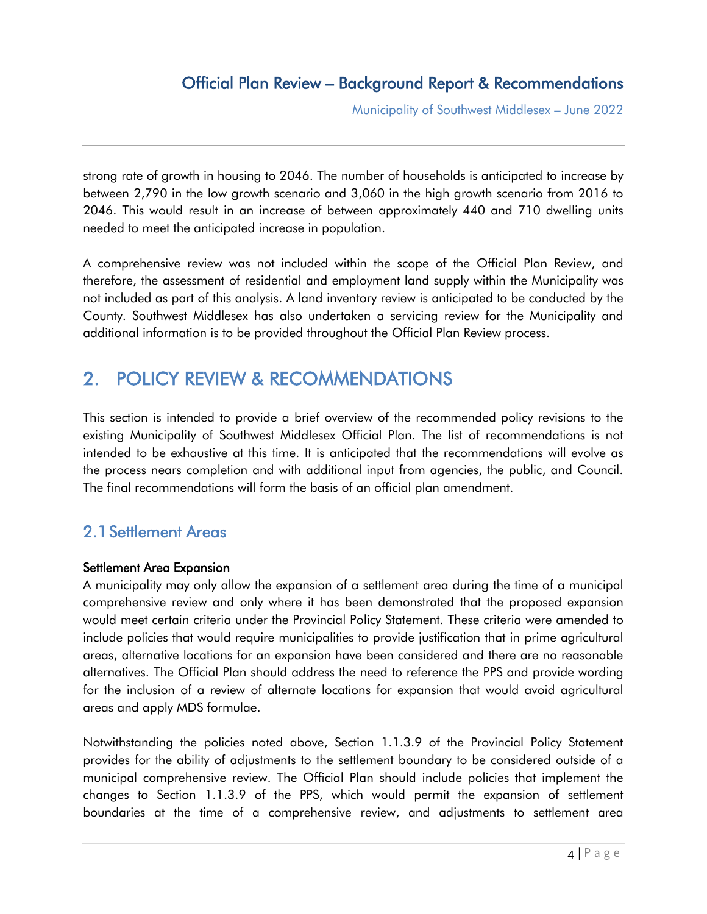# Official Plan Review – Background Report & Recommendations

Municipality of Southwest Middlesex – June 2022

strong rate of growth in housing to 2046. The number of households is anticipated to increase by between 2,790 in the low growth scenario and 3,060 in the high growth scenario from 2016 to 2046. This would result in an increase of between approximately 440 and 710 dwelling units needed to meet the anticipated increase in population.

A comprehensive review was not included within the scope of the Official Plan Review, and therefore, the assessment of residential and employment land supply within the Municipality was not included as part of this analysis. A land inventory review is anticipated to be conducted by the County. Southwest Middlesex has also undertaken a servicing review for the Municipality and additional information is to be provided throughout the Official Plan Review process.

# <span id="page-3-0"></span>2. POLICY REVIEW & RECOMMENDATIONS

This section is intended to provide a brief overview of the recommended policy revisions to the existing Municipality of Southwest Middlesex Official Plan. The list of recommendations is not intended to be exhaustive at this time. It is anticipated that the recommendations will evolve as the process nears completion and with additional input from agencies, the public, and Council. The final recommendations will form the basis of an official plan amendment.

# <span id="page-3-1"></span>2.1Settlement Areas

### Settlement Area Expansion

A municipality may only allow the expansion of a settlement area during the time of a municipal comprehensive review and only where it has been demonstrated that the proposed expansion would meet certain criteria under the Provincial Policy Statement. These criteria were amended to include policies that would require municipalities to provide justification that in prime agricultural areas, alternative locations for an expansion have been considered and there are no reasonable alternatives. The Official Plan should address the need to reference the PPS and provide wording for the inclusion of a review of alternate locations for expansion that would avoid agricultural areas and apply MDS formulae.

Notwithstanding the policies noted above, Section 1.1.3.9 of the Provincial Policy Statement provides for the ability of adjustments to the settlement boundary to be considered outside of a municipal comprehensive review. The Official Plan should include policies that implement the changes to Section 1.1.3.9 of the PPS, which would permit the expansion of settlement boundaries at the time of a comprehensive review, and adjustments to settlement area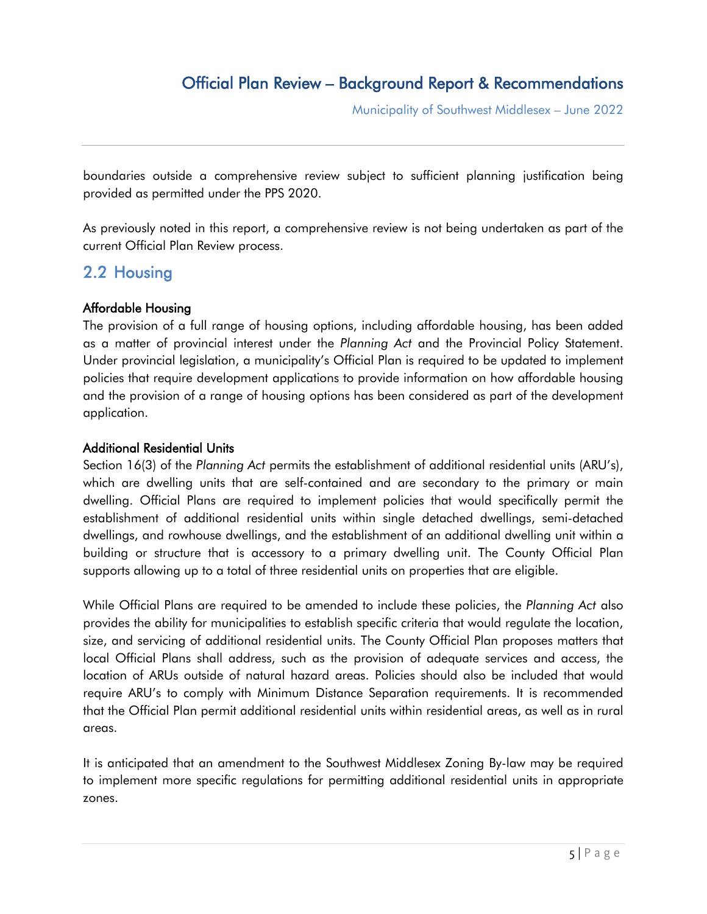boundaries outside a comprehensive review subject to sufficient planning justification being provided as permitted under the PPS 2020.

As previously noted in this report, a comprehensive review is not being undertaken as part of the current Official Plan Review process.

### <span id="page-4-0"></span>2.2 Housing

### Affordable Housing

The provision of a full range of housing options, including affordable housing, has been added as a matter of provincial interest under the *Planning Act* and the Provincial Policy Statement. Under provincial legislation, a municipality's Official Plan is required to be updated to implement policies that require development applications to provide information on how affordable housing and the provision of a range of housing options has been considered as part of the development application.

### Additional Residential Units

Section 16(3) of the *Planning Act* permits the establishment of additional residential units (ARU's), which are dwelling units that are self-contained and are secondary to the primary or main dwelling. Official Plans are required to implement policies that would specifically permit the establishment of additional residential units within single detached dwellings, semi-detached dwellings, and rowhouse dwellings, and the establishment of an additional dwelling unit within a building or structure that is accessory to a primary dwelling unit. The County Official Plan supports allowing up to a total of three residential units on properties that are eligible.

While Official Plans are required to be amended to include these policies, the *Planning Act* also provides the ability for municipalities to establish specific criteria that would regulate the location, size, and servicing of additional residential units. The County Official Plan proposes matters that local Official Plans shall address, such as the provision of adequate services and access, the location of ARUs outside of natural hazard areas. Policies should also be included that would require ARU's to comply with Minimum Distance Separation requirements. It is recommended that the Official Plan permit additional residential units within residential areas, as well as in rural areas.

It is anticipated that an amendment to the Southwest Middlesex Zoning By-law may be required to implement more specific regulations for permitting additional residential units in appropriate zones.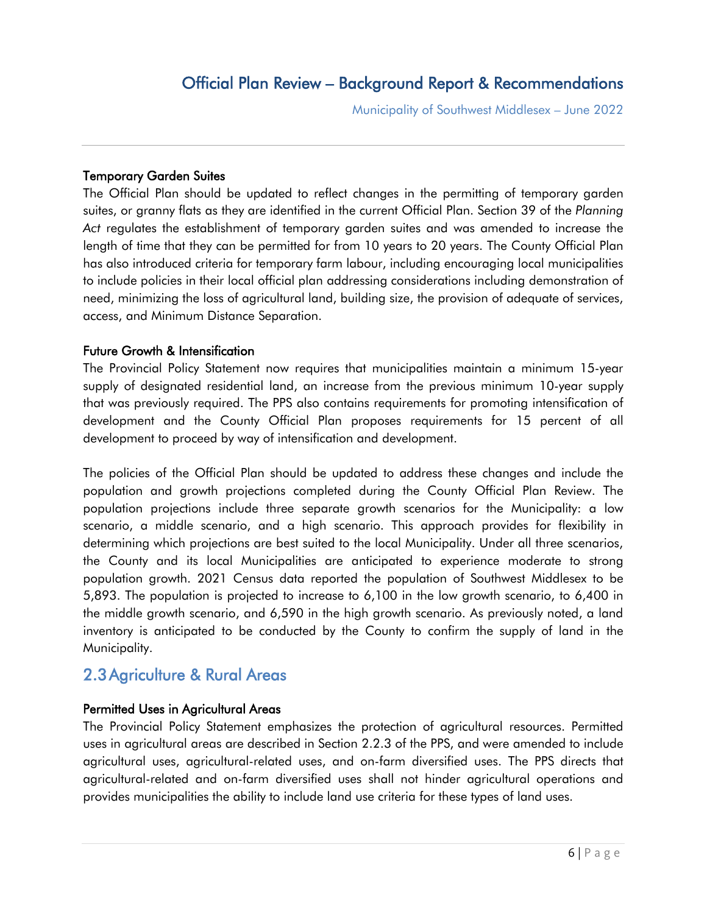## Official Plan Review – Background Report & Recommendations

Municipality of Southwest Middlesex – June 2022

#### Temporary Garden Suites

The Official Plan should be updated to reflect changes in the permitting of temporary garden suites, or granny flats as they are identified in the current Official Plan. Section 39 of the *Planning Act* regulates the establishment of temporary garden suites and was amended to increase the length of time that they can be permitted for from 10 years to 20 years. The County Official Plan has also introduced criteria for temporary farm labour, including encouraging local municipalities to include policies in their local official plan addressing considerations including demonstration of need, minimizing the loss of agricultural land, building size, the provision of adequate of services, access, and Minimum Distance Separation.

#### Future Growth & Intensification

The Provincial Policy Statement now requires that municipalities maintain a minimum 15-year supply of designated residential land, an increase from the previous minimum 10-year supply that was previously required. The PPS also contains requirements for promoting intensification of development and the County Official Plan proposes requirements for 15 percent of all development to proceed by way of intensification and development.

The policies of the Official Plan should be updated to address these changes and include the population and growth projections completed during the County Official Plan Review. The population projections include three separate growth scenarios for the Municipality: a low scenario, a middle scenario, and a high scenario. This approach provides for flexibility in determining which projections are best suited to the local Municipality. Under all three scenarios, the County and its local Municipalities are anticipated to experience moderate to strong population growth. 2021 Census data reported the population of Southwest Middlesex to be 5,893. The population is projected to increase to 6,100 in the low growth scenario, to 6,400 in the middle growth scenario, and 6,590 in the high growth scenario. As previously noted, a land inventory is anticipated to be conducted by the County to confirm the supply of land in the Municipality.

### <span id="page-5-0"></span>2.3Agriculture & Rural Areas

#### Permitted Uses in Agricultural Areas

The Provincial Policy Statement emphasizes the protection of agricultural resources. Permitted uses in agricultural areas are described in Section 2.2.3 of the PPS, and were amended to include agricultural uses, agricultural-related uses, and on-farm diversified uses. The PPS directs that agricultural-related and on-farm diversified uses shall not hinder agricultural operations and provides municipalities the ability to include land use criteria for these types of land uses.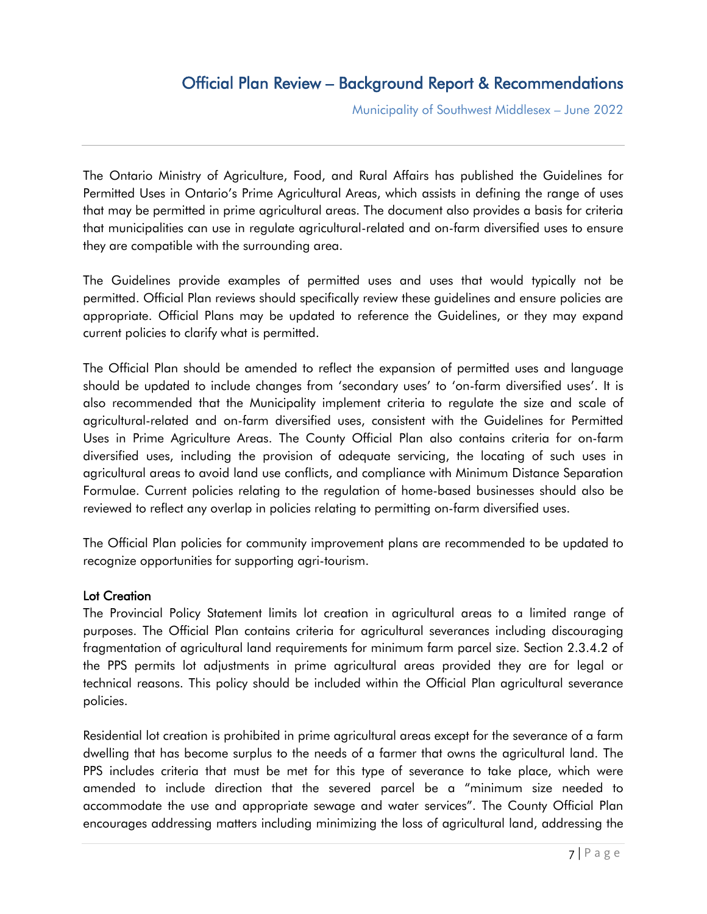# Official Plan Review – Background Report & Recommendations

Municipality of Southwest Middlesex – June 2022

The Ontario Ministry of Agriculture, Food, and Rural Affairs has published the Guidelines for Permitted Uses in Ontario's Prime Agricultural Areas, which assists in defining the range of uses that may be permitted in prime agricultural areas. The document also provides a basis for criteria that municipalities can use in regulate agricultural-related and on-farm diversified uses to ensure they are compatible with the surrounding area.

The Guidelines provide examples of permitted uses and uses that would typically not be permitted. Official Plan reviews should specifically review these guidelines and ensure policies are appropriate. Official Plans may be updated to reference the Guidelines, or they may expand current policies to clarify what is permitted.

The Official Plan should be amended to reflect the expansion of permitted uses and language should be updated to include changes from 'secondary uses' to 'on-farm diversified uses'. It is also recommended that the Municipality implement criteria to regulate the size and scale of agricultural-related and on-farm diversified uses, consistent with the Guidelines for Permitted Uses in Prime Agriculture Areas. The County Official Plan also contains criteria for on-farm diversified uses, including the provision of adequate servicing, the locating of such uses in agricultural areas to avoid land use conflicts, and compliance with Minimum Distance Separation Formulae. Current policies relating to the regulation of home-based businesses should also be reviewed to reflect any overlap in policies relating to permitting on-farm diversified uses.

The Official Plan policies for community improvement plans are recommended to be updated to recognize opportunities for supporting agri-tourism.

#### Lot Creation

The Provincial Policy Statement limits lot creation in agricultural areas to a limited range of purposes. The Official Plan contains criteria for agricultural severances including discouraging fragmentation of agricultural land requirements for minimum farm parcel size. Section 2.3.4.2 of the PPS permits lot adjustments in prime agricultural areas provided they are for legal or technical reasons. This policy should be included within the Official Plan agricultural severance policies.

Residential lot creation is prohibited in prime agricultural areas except for the severance of a farm dwelling that has become surplus to the needs of a farmer that owns the agricultural land. The PPS includes criteria that must be met for this type of severance to take place, which were amended to include direction that the severed parcel be a "minimum size needed to accommodate the use and appropriate sewage and water services". The County Official Plan encourages addressing matters including minimizing the loss of agricultural land, addressing the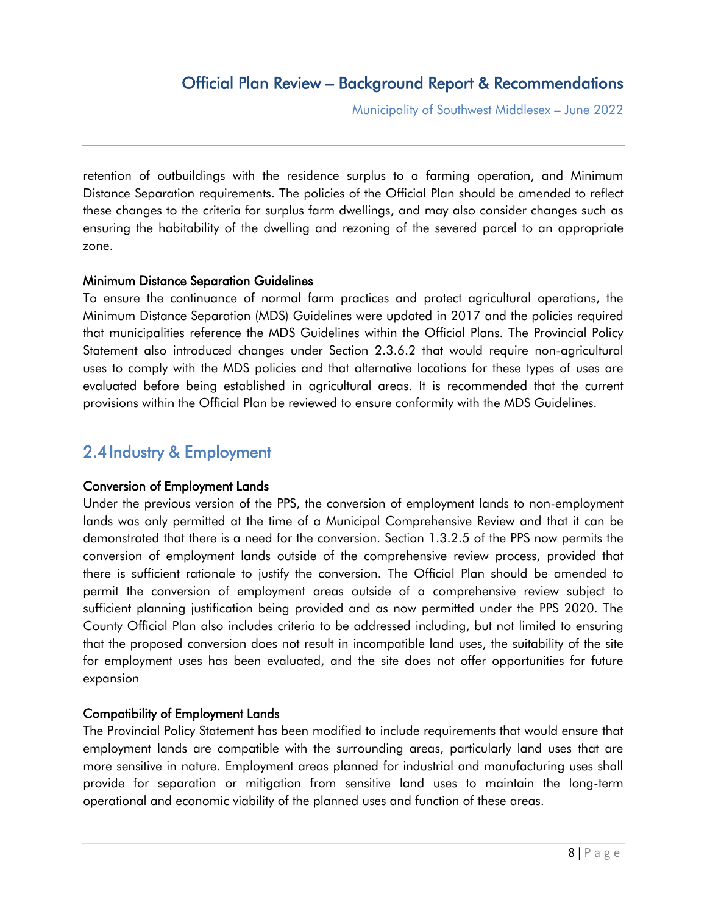retention of outbuildings with the residence surplus to a farming operation, and Minimum Distance Separation requirements. The policies of the Official Plan should be amended to reflect these changes to the criteria for surplus farm dwellings, and may also consider changes such as ensuring the habitability of the dwelling and rezoning of the severed parcel to an appropriate zone.

### Minimum Distance Separation Guidelines

To ensure the continuance of normal farm practices and protect agricultural operations, the Minimum Distance Separation (MDS) Guidelines were updated in 2017 and the policies required that municipalities reference the MDS Guidelines within the Official Plans. The Provincial Policy Statement also introduced changes under Section 2.3.6.2 that would require non-agricultural uses to comply with the MDS policies and that alternative locations for these types of uses are evaluated before being established in agricultural areas. It is recommended that the current provisions within the Official Plan be reviewed to ensure conformity with the MDS Guidelines.

# <span id="page-7-0"></span>2.4 Industry & Employment

### Conversion of Employment Lands

Under the previous version of the PPS, the conversion of employment lands to non-employment lands was only permitted at the time of a Municipal Comprehensive Review and that it can be demonstrated that there is a need for the conversion. Section 1.3.2.5 of the PPS now permits the conversion of employment lands outside of the comprehensive review process, provided that there is sufficient rationale to justify the conversion. The Official Plan should be amended to permit the conversion of employment areas outside of a comprehensive review subject to sufficient planning justification being provided and as now permitted under the PPS 2020. The County Official Plan also includes criteria to be addressed including, but not limited to ensuring that the proposed conversion does not result in incompatible land uses, the suitability of the site for employment uses has been evaluated, and the site does not offer opportunities for future expansion

### Compatibility of Employment Lands

The Provincial Policy Statement has been modified to include requirements that would ensure that employment lands are compatible with the surrounding areas, particularly land uses that are more sensitive in nature. Employment areas planned for industrial and manufacturing uses shall provide for separation or mitigation from sensitive land uses to maintain the long-term operational and economic viability of the planned uses and function of these areas.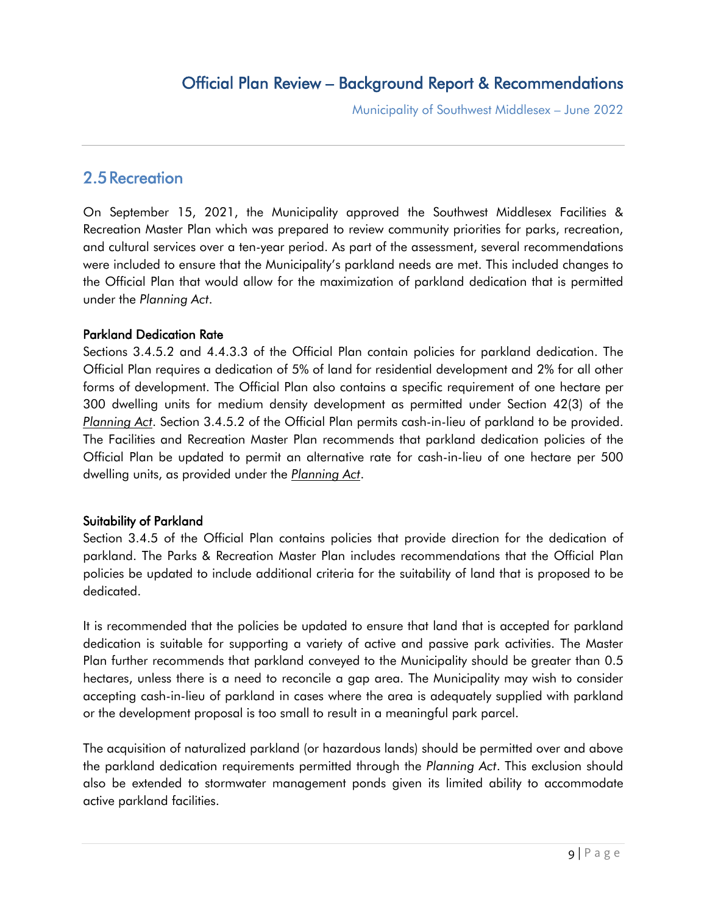### <span id="page-8-0"></span>2.5Recreation

On September 15, 2021, the Municipality approved the Southwest Middlesex Facilities & Recreation Master Plan which was prepared to review community priorities for parks, recreation, and cultural services over a ten-year period. As part of the assessment, several recommendations were included to ensure that the Municipality's parkland needs are met. This included changes to the Official Plan that would allow for the maximization of parkland dedication that is permitted under the *Planning Act*.

### Parkland Dedication Rate

Sections 3.4.5.2 and 4.4.3.3 of the Official Plan contain policies for parkland dedication. The Official Plan requires a dedication of 5% of land for residential development and 2% for all other forms of development. The Official Plan also contains a specific requirement of one hectare per 300 dwelling units for medium density development as permitted under Section 42(3) of the *Planning Act*. Section 3.4.5.2 of the Official Plan permits cash-in-lieu of parkland to be provided. The Facilities and Recreation Master Plan recommends that parkland dedication policies of the Official Plan be updated to permit an alternative rate for cash-in-lieu of one hectare per 500 dwelling units, as provided under the *Planning Act*.

### Suitability of Parkland

Section 3.4.5 of the Official Plan contains policies that provide direction for the dedication of parkland. The Parks & Recreation Master Plan includes recommendations that the Official Plan policies be updated to include additional criteria for the suitability of land that is proposed to be dedicated.

It is recommended that the policies be updated to ensure that land that is accepted for parkland dedication is suitable for supporting a variety of active and passive park activities. The Master Plan further recommends that parkland conveyed to the Municipality should be greater than 0.5 hectares, unless there is a need to reconcile a gap area. The Municipality may wish to consider accepting cash-in-lieu of parkland in cases where the area is adequately supplied with parkland or the development proposal is too small to result in a meaningful park parcel.

The acquisition of naturalized parkland (or hazardous lands) should be permitted over and above the parkland dedication requirements permitted through the *Planning Act*. This exclusion should also be extended to stormwater management ponds given its limited ability to accommodate active parkland facilities.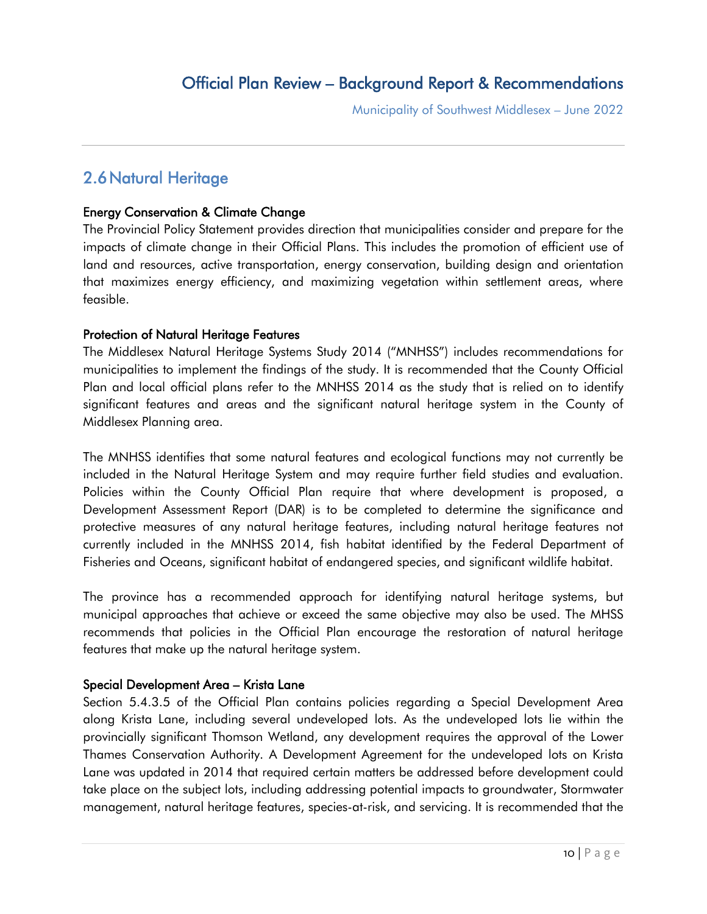## <span id="page-9-0"></span>2.6Natural Heritage

### Energy Conservation & Climate Change

The Provincial Policy Statement provides direction that municipalities consider and prepare for the impacts of climate change in their Official Plans. This includes the promotion of efficient use of land and resources, active transportation, energy conservation, building design and orientation that maximizes energy efficiency, and maximizing vegetation within settlement areas, where feasible.

### Protection of Natural Heritage Features

The Middlesex Natural Heritage Systems Study 2014 ("MNHSS") includes recommendations for municipalities to implement the findings of the study. It is recommended that the County Official Plan and local official plans refer to the MNHSS 2014 as the study that is relied on to identify significant features and areas and the significant natural heritage system in the County of Middlesex Planning area.

The MNHSS identifies that some natural features and ecological functions may not currently be included in the Natural Heritage System and may require further field studies and evaluation. Policies within the County Official Plan require that where development is proposed, a Development Assessment Report (DAR) is to be completed to determine the significance and protective measures of any natural heritage features, including natural heritage features not currently included in the MNHSS 2014, fish habitat identified by the Federal Department of Fisheries and Oceans, significant habitat of endangered species, and significant wildlife habitat.

The province has a recommended approach for identifying natural heritage systems, but municipal approaches that achieve or exceed the same objective may also be used. The MHSS recommends that policies in the Official Plan encourage the restoration of natural heritage features that make up the natural heritage system.

### Special Development Area – Krista Lane

Section 5.4.3.5 of the Official Plan contains policies regarding a Special Development Area along Krista Lane, including several undeveloped lots. As the undeveloped lots lie within the provincially significant Thomson Wetland, any development requires the approval of the Lower Thames Conservation Authority. A Development Agreement for the undeveloped lots on Krista Lane was updated in 2014 that required certain matters be addressed before development could take place on the subject lots, including addressing potential impacts to groundwater, Stormwater management, natural heritage features, species-at-risk, and servicing. It is recommended that the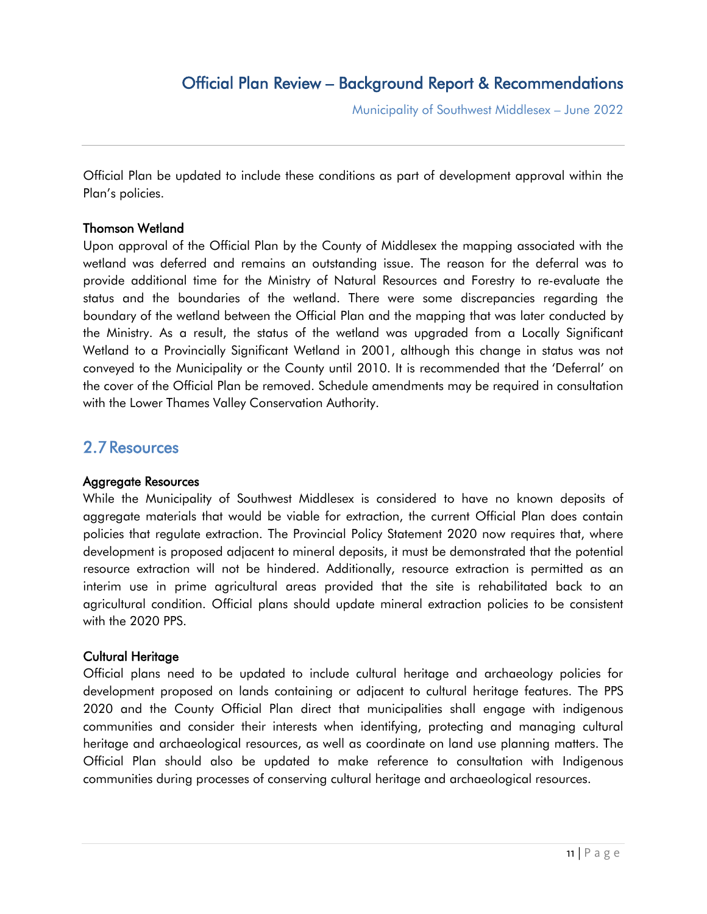Official Plan be updated to include these conditions as part of development approval within the Plan's policies.

#### Thomson Wetland

Upon approval of the Official Plan by the County of Middlesex the mapping associated with the wetland was deferred and remains an outstanding issue. The reason for the deferral was to provide additional time for the Ministry of Natural Resources and Forestry to re-evaluate the status and the boundaries of the wetland. There were some discrepancies regarding the boundary of the wetland between the Official Plan and the mapping that was later conducted by the Ministry. As a result, the status of the wetland was upgraded from a Locally Significant Wetland to a Provincially Significant Wetland in 2001, although this change in status was not conveyed to the Municipality or the County until 2010. It is recommended that the 'Deferral' on the cover of the Official Plan be removed. Schedule amendments may be required in consultation with the Lower Thames Valley Conservation Authority.

### <span id="page-10-0"></span>2.7Resources

#### Aggregate Resources

While the Municipality of Southwest Middlesex is considered to have no known deposits of aggregate materials that would be viable for extraction, the current Official Plan does contain policies that regulate extraction. The Provincial Policy Statement 2020 now requires that, where development is proposed adjacent to mineral deposits, it must be demonstrated that the potential resource extraction will not be hindered. Additionally, resource extraction is permitted as an interim use in prime agricultural areas provided that the site is rehabilitated back to an agricultural condition. Official plans should update mineral extraction policies to be consistent with the 2020 PPS.

#### Cultural Heritage

Official plans need to be updated to include cultural heritage and archaeology policies for development proposed on lands containing or adjacent to cultural heritage features. The PPS 2020 and the County Official Plan direct that municipalities shall engage with indigenous communities and consider their interests when identifying, protecting and managing cultural heritage and archaeological resources, as well as coordinate on land use planning matters. The Official Plan should also be updated to make reference to consultation with Indigenous communities during processes of conserving cultural heritage and archaeological resources.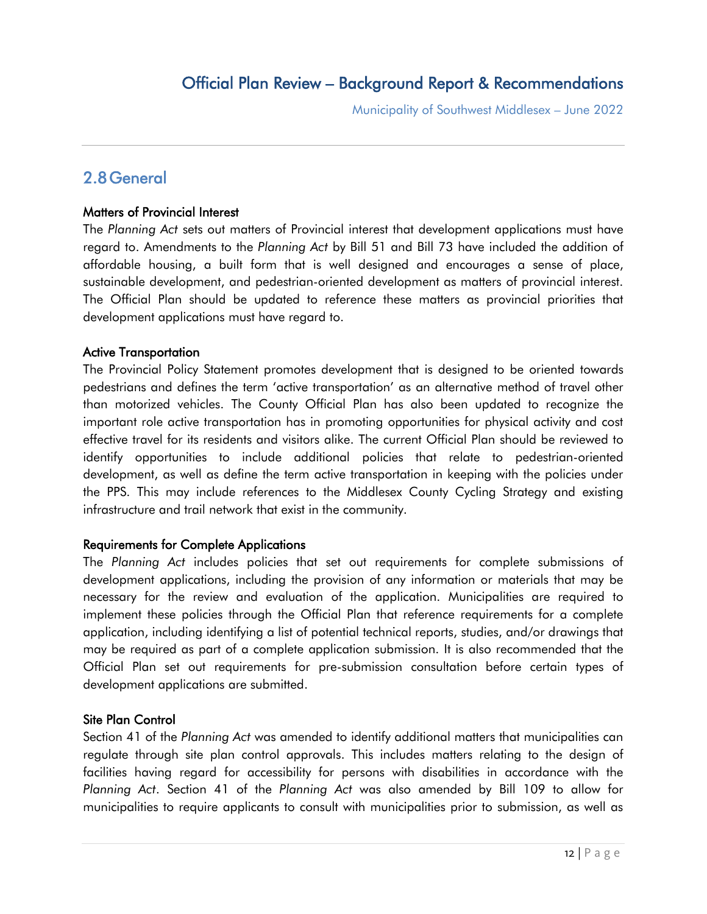# <span id="page-11-0"></span>2.8General

#### Matters of Provincial Interest

The *Planning Act* sets out matters of Provincial interest that development applications must have regard to. Amendments to the *Planning Act* by Bill 51 and Bill 73 have included the addition of affordable housing, a built form that is well designed and encourages a sense of place, sustainable development, and pedestrian-oriented development as matters of provincial interest. The Official Plan should be updated to reference these matters as provincial priorities that development applications must have regard to.

#### Active Transportation

The Provincial Policy Statement promotes development that is designed to be oriented towards pedestrians and defines the term 'active transportation' as an alternative method of travel other than motorized vehicles. The County Official Plan has also been updated to recognize the important role active transportation has in promoting opportunities for physical activity and cost effective travel for its residents and visitors alike. The current Official Plan should be reviewed to identify opportunities to include additional policies that relate to pedestrian-oriented development, as well as define the term active transportation in keeping with the policies under the PPS. This may include references to the Middlesex County Cycling Strategy and existing infrastructure and trail network that exist in the community.

### Requirements for Complete Applications

The *Planning Act* includes policies that set out requirements for complete submissions of development applications, including the provision of any information or materials that may be necessary for the review and evaluation of the application. Municipalities are required to implement these policies through the Official Plan that reference requirements for a complete application, including identifying a list of potential technical reports, studies, and/or drawings that may be required as part of a complete application submission. It is also recommended that the Official Plan set out requirements for pre-submission consultation before certain types of development applications are submitted.

### Site Plan Control

Section 41 of the *Planning Act* was amended to identify additional matters that municipalities can regulate through site plan control approvals. This includes matters relating to the design of facilities having regard for accessibility for persons with disabilities in accordance with the *Planning Act*. Section 41 of the *Planning Act* was also amended by Bill 109 to allow for municipalities to require applicants to consult with municipalities prior to submission, as well as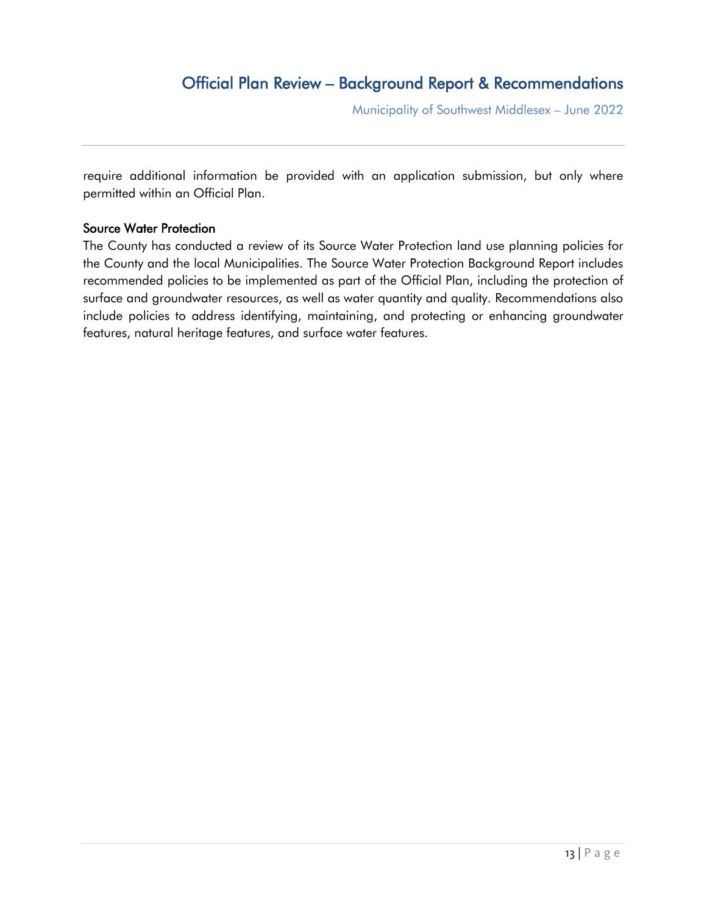require additional information be provided with an application submission, but only where permitted within an Official Plan.

#### Source Water Protection

The County has conducted a review of its Source Water Protection land use planning policies for the County and the local Municipalities. The Source Water Protection Background Report includes recommended policies to be implemented as part of the Official Plan, including the protection of surface and groundwater resources, as well as water quantity and quality. Recommendations also include policies to address identifying, maintaining, and protecting or enhancing groundwater features, natural heritage features, and surface water features.